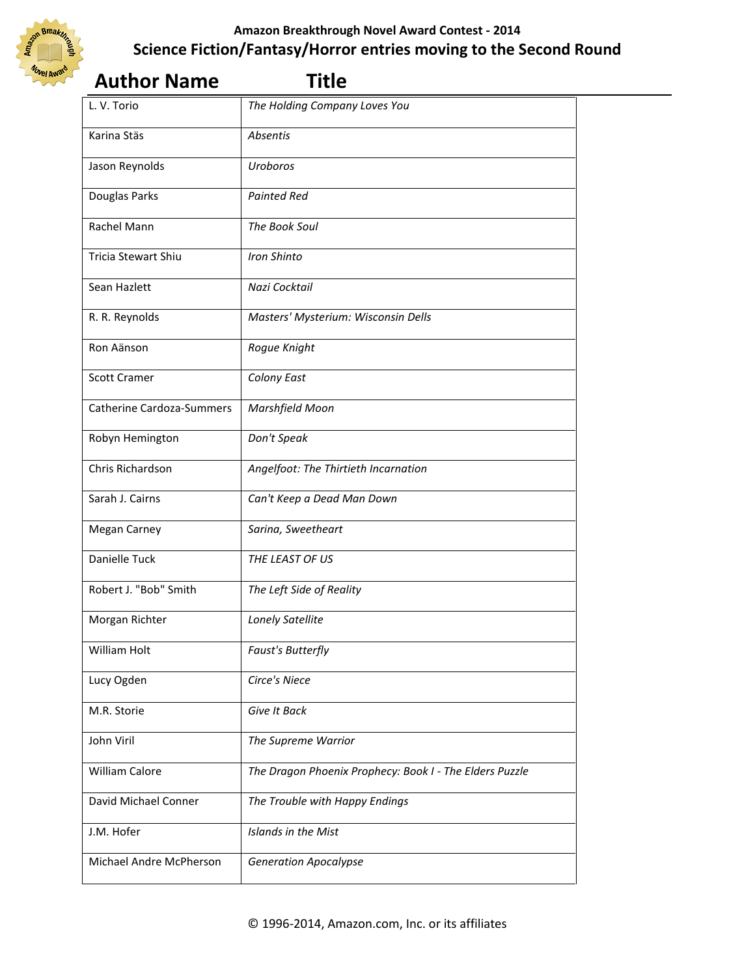

|                                  | י ו גוע                                                 |  |
|----------------------------------|---------------------------------------------------------|--|
| L. V. Torio                      | The Holding Company Loves You                           |  |
| Karina Stäs                      | Absentis                                                |  |
| Jason Reynolds                   | Uroboros                                                |  |
| Douglas Parks                    | <b>Painted Red</b>                                      |  |
| Rachel Mann                      | The Book Soul                                           |  |
| <b>Tricia Stewart Shiu</b>       | Iron Shinto                                             |  |
| Sean Hazlett                     | Nazi Cocktail                                           |  |
| R. R. Reynolds                   | Masters' Mysterium: Wisconsin Dells                     |  |
| Ron Aänson                       | Rogue Knight                                            |  |
| <b>Scott Cramer</b>              | Colony East                                             |  |
| <b>Catherine Cardoza-Summers</b> | Marshfield Moon                                         |  |
| Robyn Hemington                  | Don't Speak                                             |  |
| Chris Richardson                 | Angelfoot: The Thirtieth Incarnation                    |  |
| Sarah J. Cairns                  | Can't Keep a Dead Man Down                              |  |
| <b>Megan Carney</b>              | Sarina, Sweetheart                                      |  |
| Danielle Tuck                    | THE LEAST OF US                                         |  |
| Robert J. "Bob" Smith            | The Left Side of Reality                                |  |
| Morgan Richter                   | Lonely Satellite                                        |  |
| William Holt                     | Faust's Butterfly                                       |  |
| Lucy Ogden                       | Circe's Niece                                           |  |
| M.R. Storie                      | Give It Back                                            |  |
| John Viril                       | The Supreme Warrior                                     |  |
| William Calore                   | The Dragon Phoenix Prophecy: Book I - The Elders Puzzle |  |
| David Michael Conner             | The Trouble with Happy Endings                          |  |
| J.M. Hofer                       | <b>Islands in the Mist</b>                              |  |
| Michael Andre McPherson          | <b>Generation Apocalypse</b>                            |  |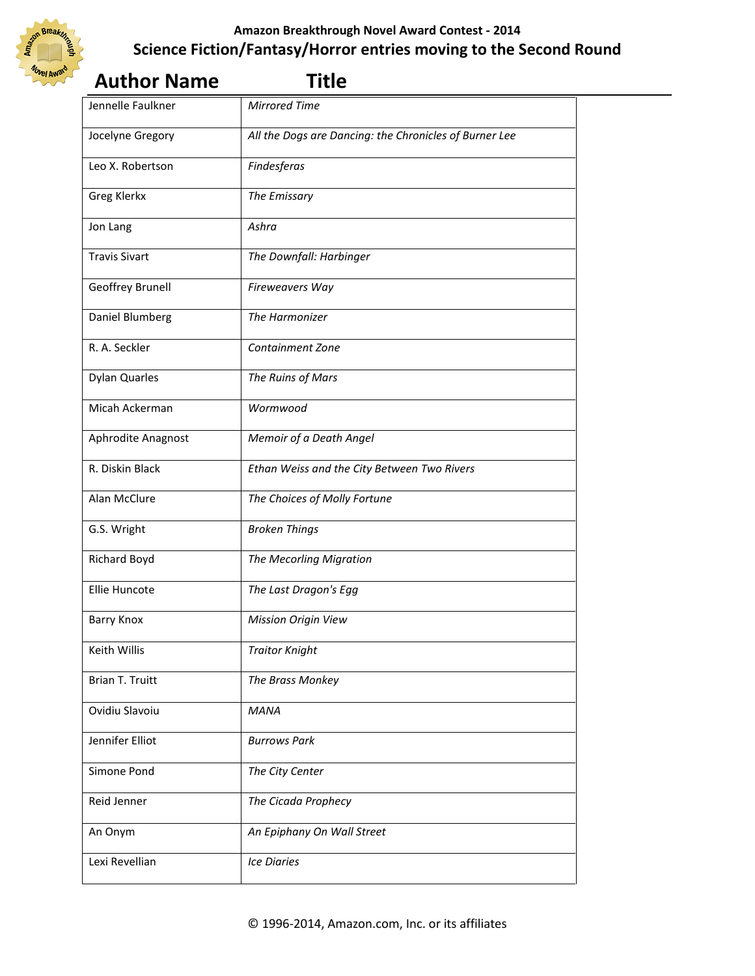

## **Author Name Title**

| Jennelle Faulkner      | <b>Mirrored Time</b>                                   |  |
|------------------------|--------------------------------------------------------|--|
| Jocelyne Gregory       | All the Dogs are Dancing: the Chronicles of Burner Lee |  |
| Leo X. Robertson       | Findesferas                                            |  |
| <b>Greg Klerkx</b>     | The Emissary                                           |  |
| Jon Lang               | Ashra                                                  |  |
| <b>Travis Sivart</b>   | The Downfall: Harbinger                                |  |
| Geoffrey Brunell       | Fireweavers Way                                        |  |
| Daniel Blumberg        | The Harmonizer                                         |  |
| R. A. Seckler          | Containment Zone                                       |  |
| <b>Dylan Quarles</b>   | The Ruins of Mars                                      |  |
| Micah Ackerman         | Wormwood                                               |  |
| Aphrodite Anagnost     | Memoir of a Death Angel                                |  |
| R. Diskin Black        | Ethan Weiss and the City Between Two Rivers            |  |
| Alan McClure           | The Choices of Molly Fortune                           |  |
| G.S. Wright            | <b>Broken Things</b>                                   |  |
| Richard Boyd           | The Mecorling Migration                                |  |
| Ellie Huncote          | The Last Dragon's Egg                                  |  |
| <b>Barry Knox</b>      | <b>Mission Origin View</b>                             |  |
| Keith Willis           | <b>Traitor Knight</b>                                  |  |
| <b>Brian T. Truitt</b> | The Brass Monkey                                       |  |
| Ovidiu Slavoiu         | <b>MANA</b>                                            |  |
| Jennifer Elliot        | <b>Burrows Park</b>                                    |  |
| Simone Pond            | The City Center                                        |  |
| Reid Jenner            | The Cicada Prophecy                                    |  |
| An Onym                | An Epiphany On Wall Street                             |  |
| Lexi Revellian         | <b>Ice Diaries</b>                                     |  |
|                        |                                                        |  |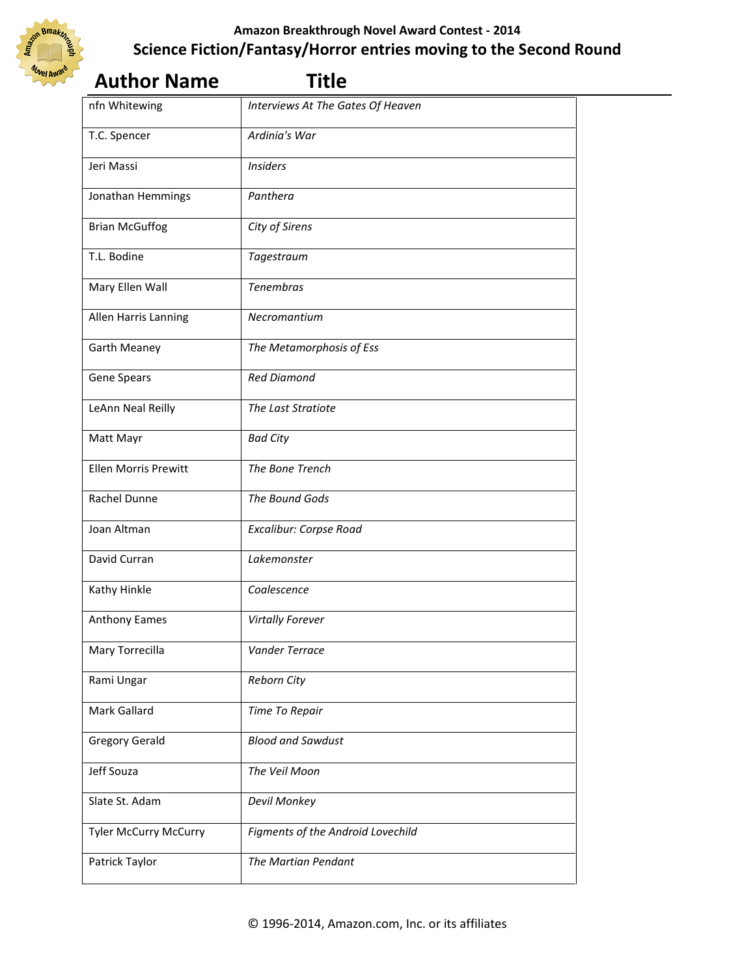

| <b>Author Name</b>           | <b>Title</b>                      |  |
|------------------------------|-----------------------------------|--|
| nfn Whitewing                | Interviews At The Gates Of Heaven |  |
| T.C. Spencer                 | Ardinia's War                     |  |
| Jeri Massi                   | <b>Insiders</b>                   |  |
| Jonathan Hemmings            | Panthera                          |  |
| <b>Brian McGuffog</b>        | City of Sirens                    |  |
| T.L. Bodine                  | Tagestraum                        |  |
| Mary Ellen Wall              | <b>Tenembras</b>                  |  |
| Allen Harris Lanning         | Necromantium                      |  |
| <b>Garth Meaney</b>          | The Metamorphosis of Ess          |  |
| Gene Spears                  | <b>Red Diamond</b>                |  |
| LeAnn Neal Reilly            | The Last Stratiote                |  |
| Matt Mayr                    | <b>Bad City</b>                   |  |
| <b>Ellen Morris Prewitt</b>  | The Bone Trench                   |  |
| Rachel Dunne                 | The Bound Gods                    |  |
| Joan Altman                  | Excalibur: Corpse Road            |  |
| David Curran                 | Lakemonster                       |  |
| Kathy Hinkle                 | Coalescence                       |  |
| Anthony Eames                | <b>Virtally Forever</b>           |  |
| Mary Torrecilla              | Vander Terrace                    |  |
| Rami Ungar                   | Reborn City                       |  |
| Mark Gallard                 | Time To Repair                    |  |
| <b>Gregory Gerald</b>        | <b>Blood and Sawdust</b>          |  |
| Jeff Souza                   | The Veil Moon                     |  |
| Slate St. Adam               | Devil Monkey                      |  |
| <b>Tyler McCurry McCurry</b> | Figments of the Android Lovechild |  |
| Patrick Taylor               | The Martian Pendant               |  |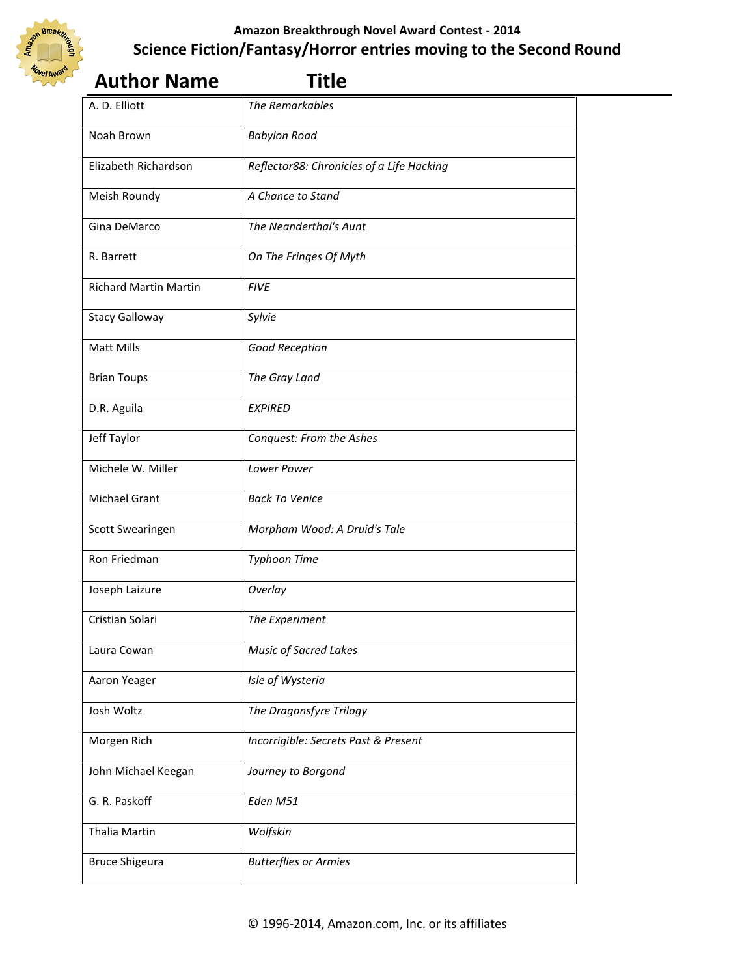

| <b>Author Name</b>           | <b>Title</b>                              |  |
|------------------------------|-------------------------------------------|--|
| A. D. Elliott                | The Remarkables                           |  |
| Noah Brown                   | <b>Babylon Road</b>                       |  |
| Elizabeth Richardson         | Reflector88: Chronicles of a Life Hacking |  |
| Meish Roundy                 | A Chance to Stand                         |  |
| Gina DeMarco                 | The Neanderthal's Aunt                    |  |
| R. Barrett                   | On The Fringes Of Myth                    |  |
| <b>Richard Martin Martin</b> | <b>FIVE</b>                               |  |
| <b>Stacy Galloway</b>        | Sylvie                                    |  |
| Matt Mills                   | Good Reception                            |  |
| <b>Brian Toups</b>           | The Gray Land                             |  |
| D.R. Aguila                  | <b>EXPIRED</b>                            |  |
| Jeff Taylor                  | Conquest: From the Ashes                  |  |
| Michele W. Miller            | Lower Power                               |  |
| Michael Grant                | <b>Back To Venice</b>                     |  |
| Scott Swearingen             | Morpham Wood: A Druid's Tale              |  |
| Ron Friedman                 | <b>Typhoon Time</b>                       |  |
| Joseph Laizure               | Overlay                                   |  |
| Cristian Solari              | The Experiment                            |  |
| Laura Cowan                  | <b>Music of Sacred Lakes</b>              |  |
| Aaron Yeager                 | Isle of Wysteria                          |  |
| Josh Woltz                   | The Dragonsfyre Trilogy                   |  |
| Morgen Rich                  | Incorrigible: Secrets Past & Present      |  |
| John Michael Keegan          | Journey to Borgond                        |  |
| G. R. Paskoff                | Eden M51                                  |  |
| Thalia Martin                | Wolfskin                                  |  |
| <b>Bruce Shigeura</b>        | <b>Butterflies or Armies</b>              |  |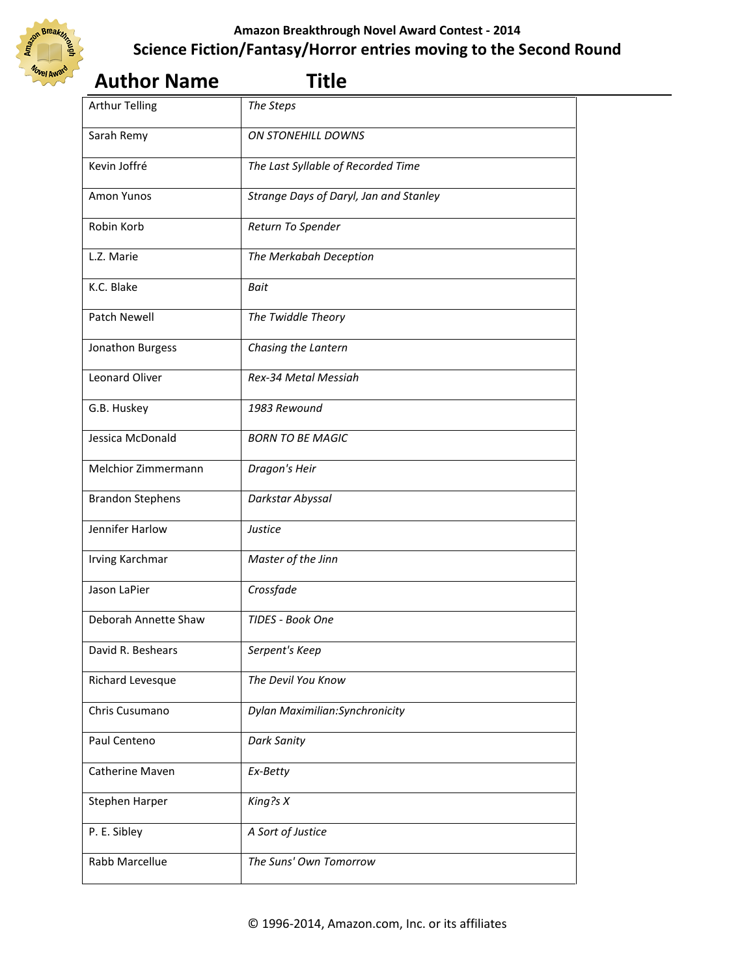

| Sarah Remy              | <b>ON STONEHILL DOWNS</b>              |
|-------------------------|----------------------------------------|
| Kevin Joffré            | The Last Syllable of Recorded Time     |
| Amon Yunos              | Strange Days of Daryl, Jan and Stanley |
| Robin Korb              | Return To Spender                      |
| L.Z. Marie              | The Merkabah Deception                 |
| K.C. Blake              | <b>Bait</b>                            |
| Patch Newell            | The Twiddle Theory                     |
| Jonathon Burgess        | Chasing the Lantern                    |
| <b>Leonard Oliver</b>   | Rex-34 Metal Messiah                   |
| G.B. Huskey             | 1983 Rewound                           |
| Jessica McDonald        | <b>BORN TO BE MAGIC</b>                |
| Melchior Zimmermann     | Dragon's Heir                          |
| <b>Brandon Stephens</b> | Darkstar Abyssal                       |

#### **Author Name Title**  Arthur Telling *The Steps*

Jennifer Harlow *Justice*

Jason LaPier *Crossfade*

Irving Karchmar *Master of the Jinn*

Deborah Annette Shaw *TIDES - Book One*

David R. Beshears *Serpent's Keep*

Paul Centeno **Dark Sanity** 

Catherine Maven *Ex-Betty*

Stephen Harper *King?s X*

P. E. Sibley *A Sort of Justice*

Rabb Marcellue *The Suns' Own Tomorrow*

Richard Levesque *The Devil You Know*

Chris Cusumano *Dylan Maximilian:Synchronicity*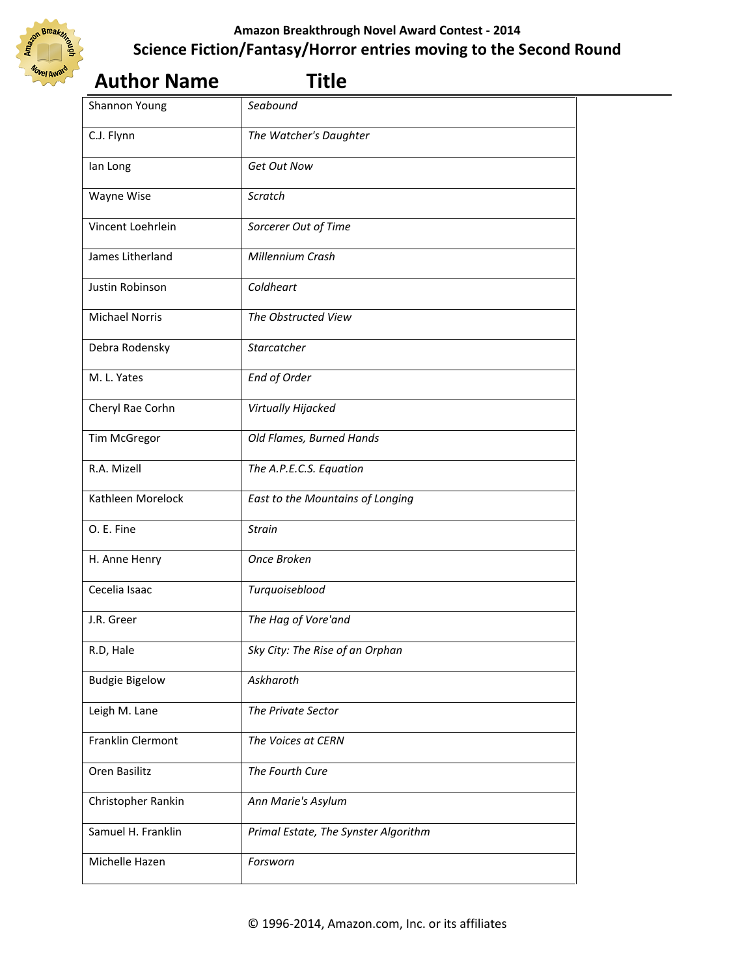

| <b>Author Name</b>    | <b>Title</b>                         |  |
|-----------------------|--------------------------------------|--|
| Shannon Young         | Seabound                             |  |
| C.J. Flynn            | The Watcher's Daughter               |  |
| lan Long              | Get Out Now                          |  |
| Wayne Wise            | Scratch                              |  |
| Vincent Loehrlein     | Sorcerer Out of Time                 |  |
| James Litherland      | Millennium Crash                     |  |
| Justin Robinson       | Coldheart                            |  |
| <b>Michael Norris</b> | The Obstructed View                  |  |
| Debra Rodensky        | Starcatcher                          |  |
| M. L. Yates           | <b>End of Order</b>                  |  |
| Cheryl Rae Corhn      | Virtually Hijacked                   |  |
| Tim McGregor          | Old Flames, Burned Hands             |  |
| R.A. Mizell           | The A.P.E.C.S. Equation              |  |
| Kathleen Morelock     | East to the Mountains of Longing     |  |
| O. E. Fine            | <b>Strain</b>                        |  |
| H. Anne Henry         | Once Broken                          |  |
| Cecelia Isaac         | Turquoiseblood                       |  |
| J.R. Greer            | The Hag of Vore'and                  |  |
| R.D, Hale             | Sky City: The Rise of an Orphan      |  |
| <b>Budgie Bigelow</b> | Askharoth                            |  |
| Leigh M. Lane         | The Private Sector                   |  |
| Franklin Clermont     | The Voices at CERN                   |  |
| Oren Basilitz         | The Fourth Cure                      |  |
| Christopher Rankin    | Ann Marie's Asylum                   |  |
| Samuel H. Franklin    | Primal Estate, The Synster Algorithm |  |
| Michelle Hazen        | Forsworn                             |  |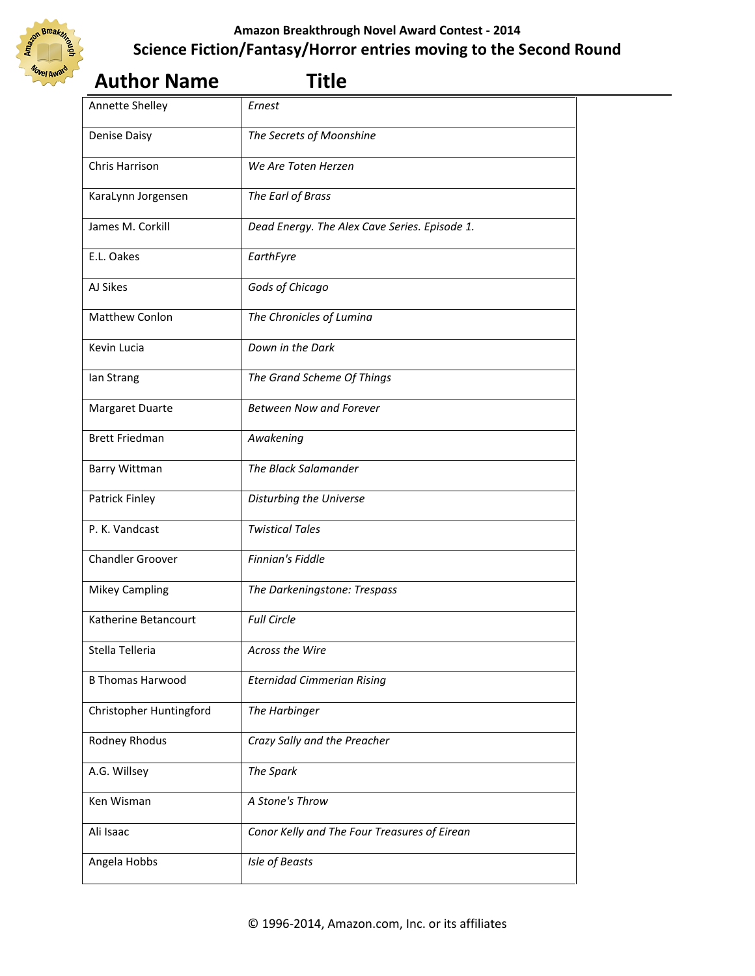

| <b>Author Name</b>      | <b>Title</b>                                  |  |
|-------------------------|-----------------------------------------------|--|
| Annette Shelley         | Ernest                                        |  |
| <b>Denise Daisy</b>     | The Secrets of Moonshine                      |  |
| Chris Harrison          | We Are Toten Herzen                           |  |
| KaraLynn Jorgensen      | The Earl of Brass                             |  |
| James M. Corkill        | Dead Energy. The Alex Cave Series. Episode 1. |  |
| E.L. Oakes              | EarthFyre                                     |  |
| AJ Sikes                | Gods of Chicago                               |  |
| Matthew Conlon          | The Chronicles of Lumina                      |  |
| Kevin Lucia             | Down in the Dark                              |  |
| lan Strang              | The Grand Scheme Of Things                    |  |
| Margaret Duarte         | <b>Between Now and Forever</b>                |  |
| <b>Brett Friedman</b>   | Awakening                                     |  |
| Barry Wittman           | The Black Salamander                          |  |
| Patrick Finley          | Disturbing the Universe                       |  |
| P. K. Vandcast          | <b>Twistical Tales</b>                        |  |
| <b>Chandler Groover</b> | Finnian's Fiddle                              |  |
| <b>Mikey Campling</b>   | The Darkeningstone: Trespass                  |  |
| Katherine Betancourt    | <b>Full Circle</b>                            |  |
| Stella Telleria         | Across the Wire                               |  |
| <b>B Thomas Harwood</b> | <b>Eternidad Cimmerian Rising</b>             |  |
| Christopher Huntingford | The Harbinger                                 |  |
| Rodney Rhodus           | Crazy Sally and the Preacher                  |  |
| A.G. Willsey            | The Spark                                     |  |
| Ken Wisman              | A Stone's Throw                               |  |
| Ali Isaac               | Conor Kelly and The Four Treasures of Eirean  |  |
| Angela Hobbs            | Isle of Beasts                                |  |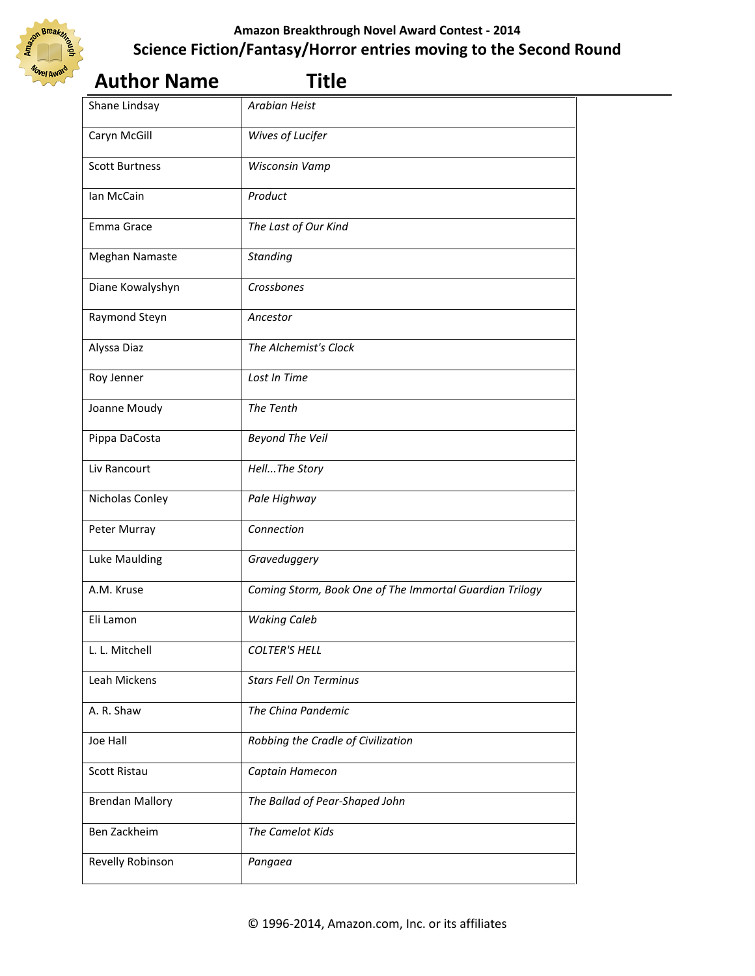

| <b>Author Name</b>     | <b>Title</b>                                            |  |
|------------------------|---------------------------------------------------------|--|
| Shane Lindsay          | <b>Arabian Heist</b>                                    |  |
| Caryn McGill           | Wives of Lucifer                                        |  |
| <b>Scott Burtness</b>  | Wisconsin Vamp                                          |  |
| Ian McCain             | Product                                                 |  |
| Emma Grace             | The Last of Our Kind                                    |  |
| Meghan Namaste         | <b>Standing</b>                                         |  |
| Diane Kowalyshyn       | Crossbones                                              |  |
| Raymond Steyn          | Ancestor                                                |  |
| Alyssa Diaz            | The Alchemist's Clock                                   |  |
| Roy Jenner             | Lost In Time                                            |  |
| Joanne Moudy           | The Tenth                                               |  |
| Pippa DaCosta          | <b>Beyond The Veil</b>                                  |  |
| Liv Rancourt           | HellThe Story                                           |  |
| Nicholas Conley        | Pale Highway                                            |  |
| Peter Murray           | Connection                                              |  |
| Luke Maulding          | Graveduggery                                            |  |
| A.M. Kruse             | Coming Storm, Book One of The Immortal Guardian Trilogy |  |
| Eli Lamon              | <b>Waking Caleb</b>                                     |  |
| L. L. Mitchell         | <b>COLTER'S HELL</b>                                    |  |
| Leah Mickens           | <b>Stars Fell On Terminus</b>                           |  |
| A. R. Shaw             | The China Pandemic                                      |  |
| Joe Hall               | Robbing the Cradle of Civilization                      |  |
| Scott Ristau           | Captain Hamecon                                         |  |
| <b>Brendan Mallory</b> | The Ballad of Pear-Shaped John                          |  |
| Ben Zackheim           | The Camelot Kids                                        |  |
| Revelly Robinson       | Pangaea                                                 |  |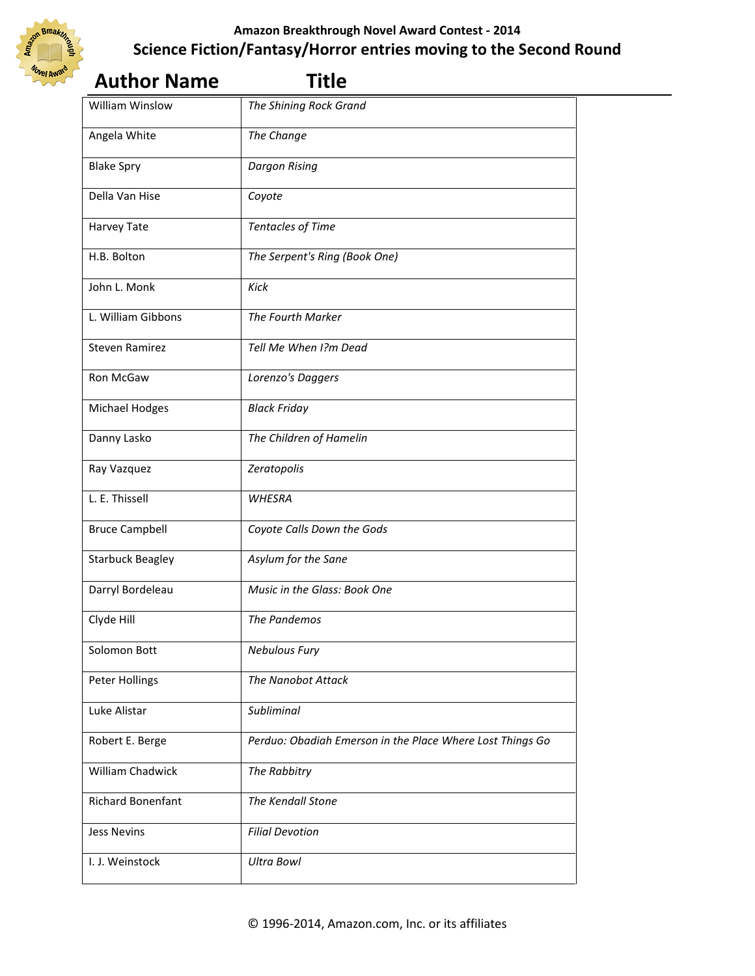

| <b>Author Name</b>       | <b>Title</b>                                              |  |
|--------------------------|-----------------------------------------------------------|--|
| <b>William Winslow</b>   | The Shining Rock Grand                                    |  |
| Angela White             | The Change                                                |  |
| <b>Blake Spry</b>        | <b>Dargon Rising</b>                                      |  |
| Della Van Hise           | Coyote                                                    |  |
| Harvey Tate              | <b>Tentacles of Time</b>                                  |  |
| H.B. Bolton              | The Serpent's Ring (Book One)                             |  |
| John L. Monk             | Kick                                                      |  |
| L. William Gibbons       | The Fourth Marker                                         |  |
| <b>Steven Ramirez</b>    | Tell Me When I?m Dead                                     |  |
| <b>Ron McGaw</b>         | Lorenzo's Daggers                                         |  |
| Michael Hodges           | <b>Black Friday</b>                                       |  |
| Danny Lasko              | The Children of Hamelin                                   |  |
| Ray Vazquez              | Zeratopolis                                               |  |
| L. E. Thissell           | <b>WHESRA</b>                                             |  |
| <b>Bruce Campbell</b>    | Coyote Calls Down the Gods                                |  |
| <b>Starbuck Beagley</b>  | Asylum for the Sane                                       |  |
| Darryl Bordeleau         | Music in the Glass: Book One                              |  |
| Clyde Hill               | The Pandemos                                              |  |
| Solomon Bott             | <b>Nebulous Fury</b>                                      |  |
| Peter Hollings           | <b>The Nanobot Attack</b>                                 |  |
| Luke Alistar             | Subliminal                                                |  |
| Robert E. Berge          | Perduo: Obadiah Emerson in the Place Where Lost Things Go |  |
| William Chadwick         | The Rabbitry                                              |  |
| <b>Richard Bonenfant</b> | The Kendall Stone                                         |  |
| <b>Jess Nevins</b>       | <b>Filial Devotion</b>                                    |  |
| I. J. Weinstock          | <b>Ultra Bowl</b>                                         |  |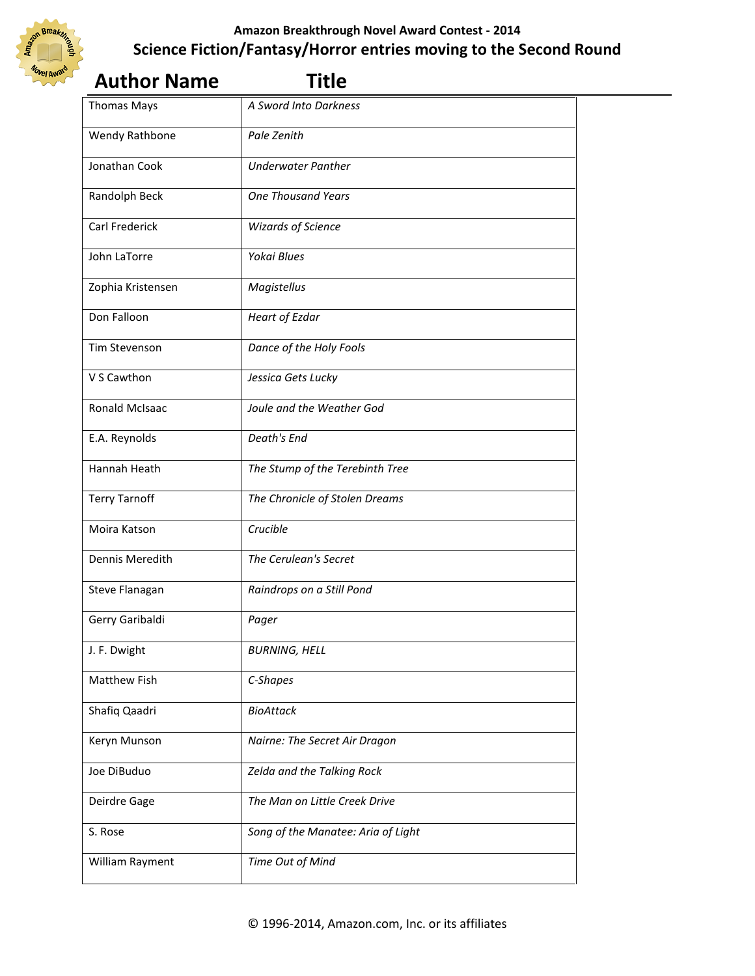

| <b>Author Name</b>    | <b>Title</b>                       |  |
|-----------------------|------------------------------------|--|
| <b>Thomas Mays</b>    | A Sword Into Darkness              |  |
| Wendy Rathbone        | Pale Zenith                        |  |
| Jonathan Cook         | <b>Underwater Panther</b>          |  |
| Randolph Beck         | <b>One Thousand Years</b>          |  |
| <b>Carl Frederick</b> | <b>Wizards of Science</b>          |  |
| John LaTorre          | Yokai Blues                        |  |
| Zophia Kristensen     | Magistellus                        |  |
| Don Falloon           | <b>Heart of Ezdar</b>              |  |
| Tim Stevenson         | Dance of the Holy Fools            |  |
| V S Cawthon           | Jessica Gets Lucky                 |  |
| <b>Ronald McIsaac</b> | Joule and the Weather God          |  |
| E.A. Reynolds         | Death's End                        |  |
| Hannah Heath          | The Stump of the Terebinth Tree    |  |
| <b>Terry Tarnoff</b>  | The Chronicle of Stolen Dreams     |  |
| Moira Katson          | Crucible                           |  |
| Dennis Meredith       | The Cerulean's Secret              |  |
| Steve Flanagan        | Raindrops on a Still Pond          |  |
| Gerry Garibaldi       | Pager                              |  |
| J. F. Dwight          | <b>BURNING, HELL</b>               |  |
| Matthew Fish          | C-Shapes                           |  |
| Shafiq Qaadri         | <b>BioAttack</b>                   |  |
| Keryn Munson          | Nairne: The Secret Air Dragon      |  |
| Joe DiBuduo           | Zelda and the Talking Rock         |  |
| Deirdre Gage          | The Man on Little Creek Drive      |  |
| S. Rose               | Song of the Manatee: Aria of Light |  |
| William Rayment       | Time Out of Mind                   |  |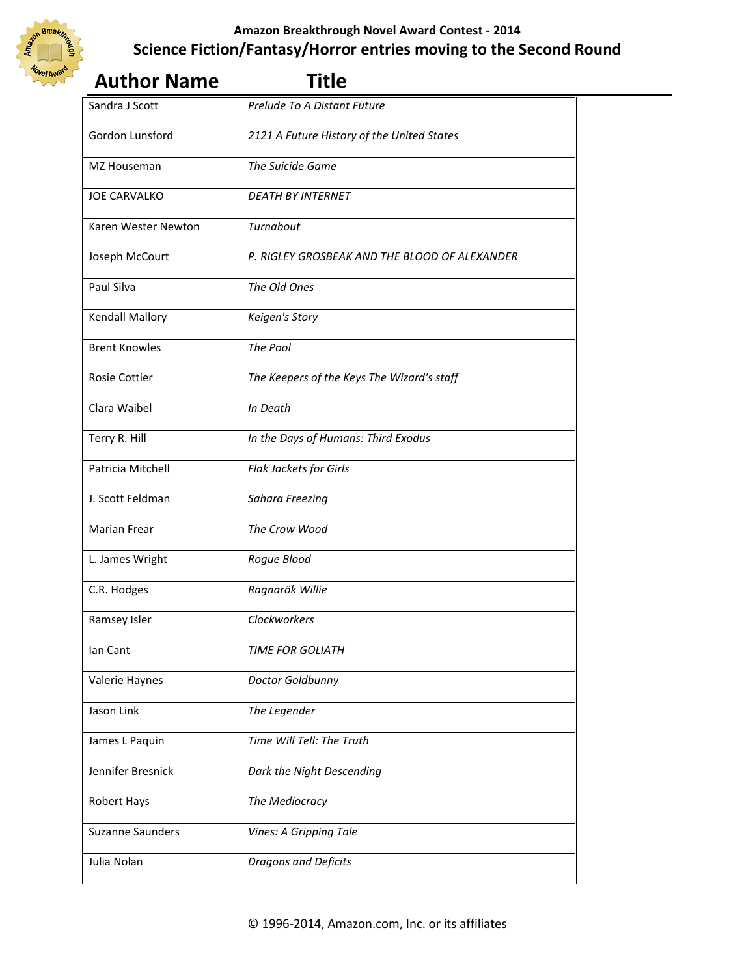

# **Author Name Title**  Sandra J Scott *Prelude To A Distant Future*

| Gordon Lunsford         | 2121 A Future History of the United States    |
|-------------------------|-----------------------------------------------|
| MZ Houseman             | The Suicide Game                              |
| <b>JOE CARVALKO</b>     | <b>DEATH BY INTERNET</b>                      |
| Karen Wester Newton     | Turnabout                                     |
| Joseph McCourt          | P. RIGLEY GROSBEAK AND THE BLOOD OF ALEXANDER |
| Paul Silva              | The Old Ones                                  |
| Kendall Mallory         | Keigen's Story                                |
| <b>Brent Knowles</b>    | The Pool                                      |
| <b>Rosie Cottier</b>    | The Keepers of the Keys The Wizard's staff    |
| Clara Waibel            | In Death                                      |
| Terry R. Hill           | In the Days of Humans: Third Exodus           |
| Patricia Mitchell       | Flak Jackets for Girls                        |
| J. Scott Feldman        | Sahara Freezing                               |
| <b>Marian Frear</b>     | The Crow Wood                                 |
| L. James Wright         | Rogue Blood                                   |
| C.R. Hodges             | Ragnarök Willie                               |
| Ramsey Isler            | Clockworkers                                  |
| lan Cant                | <b>TIME FOR GOLIATH</b>                       |
| Valerie Haynes          | Doctor Goldbunny                              |
| Jason Link              | The Legender                                  |
| James L Paquin          | Time Will Tell: The Truth                     |
| Jennifer Bresnick       | Dark the Night Descending                     |
| Robert Hays             | The Mediocracy                                |
| <b>Suzanne Saunders</b> | Vines: A Gripping Tale                        |
| Julia Nolan             | <b>Dragons and Deficits</b>                   |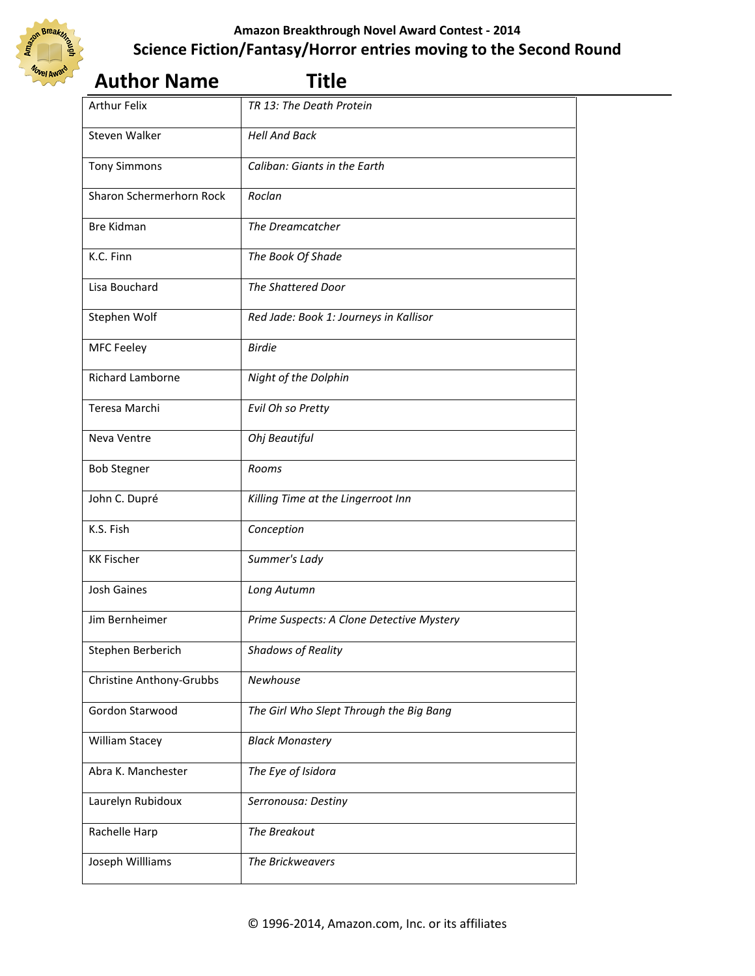

| <b>Author Name</b>              | <b>Title</b>                              |  |
|---------------------------------|-------------------------------------------|--|
| <b>Arthur Felix</b>             | TR 13: The Death Protein                  |  |
| Steven Walker                   | <b>Hell And Back</b>                      |  |
| <b>Tony Simmons</b>             | Caliban: Giants in the Earth              |  |
| Sharon Schermerhorn Rock        | Roclan                                    |  |
| <b>Bre Kidman</b>               | The Dreamcatcher                          |  |
| K.C. Finn                       | The Book Of Shade                         |  |
| Lisa Bouchard                   | The Shattered Door                        |  |
| Stephen Wolf                    | Red Jade: Book 1: Journeys in Kallisor    |  |
| <b>MFC Feeley</b>               | <b>Birdie</b>                             |  |
| <b>Richard Lamborne</b>         | Night of the Dolphin                      |  |
| Teresa Marchi                   | Evil Oh so Pretty                         |  |
| Neva Ventre                     | Ohj Beautiful                             |  |
| <b>Bob Stegner</b>              | Rooms                                     |  |
| John C. Dupré                   | Killing Time at the Lingerroot Inn        |  |
| K.S. Fish                       | Conception                                |  |
| <b>KK Fischer</b>               | Summer's Lady                             |  |
| Josh Gaines                     | Long Autumn                               |  |
| Jim Bernheimer                  | Prime Suspects: A Clone Detective Mystery |  |
| Stephen Berberich               | <b>Shadows of Reality</b>                 |  |
| <b>Christine Anthony-Grubbs</b> | Newhouse                                  |  |
| Gordon Starwood                 | The Girl Who Slept Through the Big Bang   |  |
| William Stacey                  | <b>Black Monastery</b>                    |  |
| Abra K. Manchester              | The Eye of Isidora                        |  |
| Laurelyn Rubidoux               | Serronousa: Destiny                       |  |
| Rachelle Harp                   | The Breakout                              |  |
| Joseph Willliams                | The Brickweavers                          |  |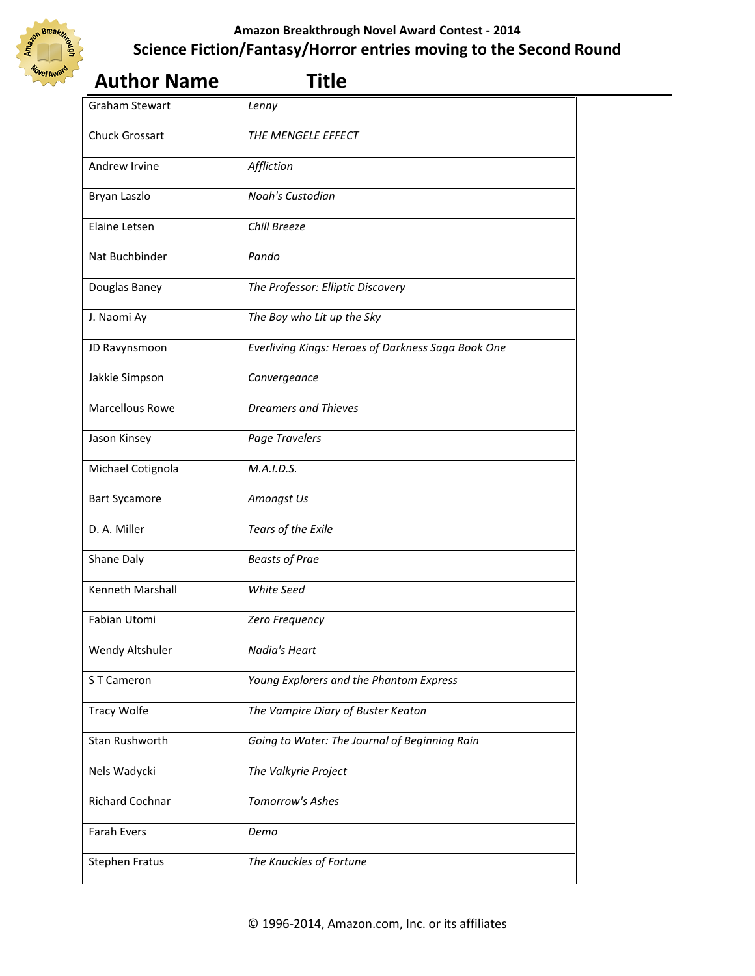

| <b>Author Name</b>     | <b>Title</b>                                       |  |
|------------------------|----------------------------------------------------|--|
| <b>Graham Stewart</b>  | Lenny                                              |  |
| <b>Chuck Grossart</b>  | THE MENGELE EFFECT                                 |  |
| Andrew Irvine          | Affliction                                         |  |
| Bryan Laszlo           | Noah's Custodian                                   |  |
| Elaine Letsen          | Chill Breeze                                       |  |
| Nat Buchbinder         | Pando                                              |  |
| Douglas Baney          | The Professor: Elliptic Discovery                  |  |
| J. Naomi Ay            | The Boy who Lit up the Sky                         |  |
| JD Ravynsmoon          | Everliving Kings: Heroes of Darkness Saga Book One |  |
| Jakkie Simpson         | Convergeance                                       |  |
| <b>Marcellous Rowe</b> | <b>Dreamers and Thieves</b>                        |  |
| Jason Kinsey           | Page Travelers                                     |  |
| Michael Cotignola      | M.A.I.D.S.                                         |  |
| <b>Bart Sycamore</b>   | Amongst Us                                         |  |
| D. A. Miller           | Tears of the Exile                                 |  |
| Shane Daly             | <b>Beasts of Prae</b>                              |  |
| Kenneth Marshall       | White Seed                                         |  |
| Fabian Utomi           | Zero Frequency                                     |  |
| Wendy Altshuler        | Nadia's Heart                                      |  |
| ST Cameron             | Young Explorers and the Phantom Express            |  |
| <b>Tracy Wolfe</b>     | The Vampire Diary of Buster Keaton                 |  |
| Stan Rushworth         | Going to Water: The Journal of Beginning Rain      |  |
| Nels Wadycki           | The Valkyrie Project                               |  |
| <b>Richard Cochnar</b> | Tomorrow's Ashes                                   |  |
| <b>Farah Evers</b>     | Demo                                               |  |
| <b>Stephen Fratus</b>  | The Knuckles of Fortune                            |  |
|                        |                                                    |  |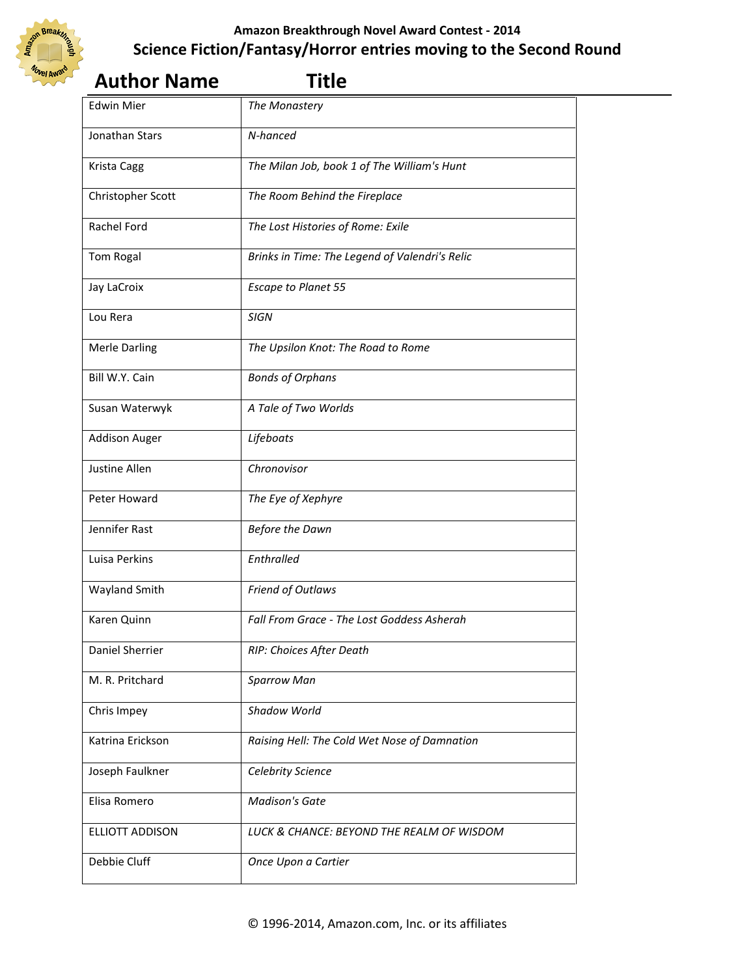

| <b>Author Name</b>   | <b>Title</b>                                   |  |
|----------------------|------------------------------------------------|--|
| <b>Edwin Mier</b>    | The Monastery                                  |  |
| Jonathan Stars       | N-hanced                                       |  |
| Krista Cagg          | The Milan Job, book 1 of The William's Hunt    |  |
| Christopher Scott    | The Room Behind the Fireplace                  |  |
| Rachel Ford          | The Lost Histories of Rome: Exile              |  |
| Tom Rogal            | Brinks in Time: The Legend of Valendri's Relic |  |
| Jay LaCroix          | <b>Escape to Planet 55</b>                     |  |
| Lou Rera             | <b>SIGN</b>                                    |  |
| <b>Merle Darling</b> | The Upsilon Knot: The Road to Rome             |  |
| Bill W.Y. Cain       | <b>Bonds of Orphans</b>                        |  |
| Susan Waterwyk       | A Tale of Two Worlds                           |  |
| <b>Addison Auger</b> | Lifeboats                                      |  |
| Justine Allen        | Chronovisor                                    |  |
| Peter Howard         | The Eye of Xephyre                             |  |
| Jennifer Rast        | <b>Before the Dawn</b>                         |  |
| Luisa Perkins        | Enthralled                                     |  |
| Wayland Smith        | Friend of Outlaws                              |  |
| Karen Quinn          | Fall From Grace - The Lost Goddess Asherah     |  |
| Daniel Sherrier      | RIP: Choices After Death                       |  |
| M. R. Pritchard      | <b>Sparrow Man</b>                             |  |
| Chris Impey          | Shadow World                                   |  |
| Katrina Erickson     | Raising Hell: The Cold Wet Nose of Damnation   |  |
| Joseph Faulkner      | Celebrity Science                              |  |
| Elisa Romero         | <b>Madison's Gate</b>                          |  |
| ELLIOTT ADDISON      | LUCK & CHANCE: BEYOND THE REALM OF WISDOM      |  |
| Debbie Cluff         | Once Upon a Cartier                            |  |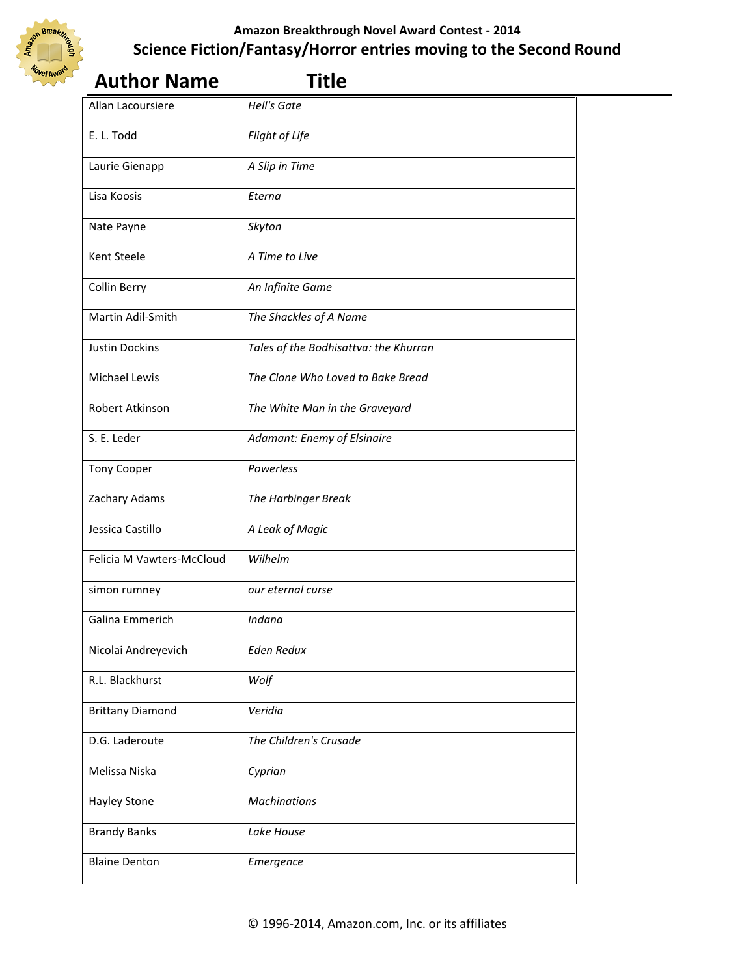

| <b>Author Name</b>        | <b>Title</b>                          |  |
|---------------------------|---------------------------------------|--|
| Allan Lacoursiere         | <b>Hell's Gate</b>                    |  |
| E. L. Todd                | Flight of Life                        |  |
| Laurie Gienapp            | A Slip in Time                        |  |
| Lisa Koosis               | Eterna                                |  |
| Nate Payne                | Skyton                                |  |
| Kent Steele               | A Time to Live                        |  |
| Collin Berry              | An Infinite Game                      |  |
| Martin Adil-Smith         | The Shackles of A Name                |  |
| <b>Justin Dockins</b>     | Tales of the Bodhisattva: the Khurran |  |
| Michael Lewis             | The Clone Who Loved to Bake Bread     |  |
| Robert Atkinson           | The White Man in the Graveyard        |  |
| S. E. Leder               | Adamant: Enemy of Elsinaire           |  |
| Tony Cooper               | Powerless                             |  |
| Zachary Adams             | The Harbinger Break                   |  |
| Jessica Castillo          | A Leak of Magic                       |  |
| Felicia M Vawters-McCloud | Wilhelm                               |  |
| simon rumney              | our eternal curse                     |  |
| Galina Emmerich           | Indana                                |  |
| Nicolai Andreyevich       | <b>Eden Redux</b>                     |  |
| R.L. Blackhurst           | Wolf                                  |  |
| <b>Brittany Diamond</b>   | Veridia                               |  |
| D.G. Laderoute            | The Children's Crusade                |  |
| Melissa Niska             | Cyprian                               |  |
| <b>Hayley Stone</b>       | <b>Machinations</b>                   |  |
| <b>Brandy Banks</b>       | Lake House                            |  |
| <b>Blaine Denton</b>      | Emergence                             |  |